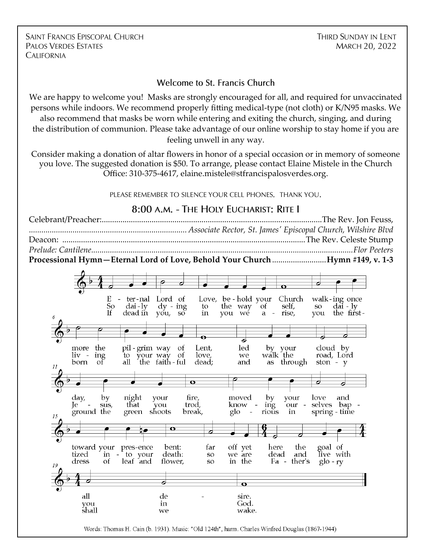**SAINT FRANCIS EPISCOPAL CHURCH PALOS VERDES ESTATES CALIFORNIA** 

THIRD SUNDAY IN LENT MARCH 20, 2022

## Welcome to St. Francis Church

We are happy to welcome you! Masks are strongly encouraged for all, and required for unvaccinated persons while indoors. We recommend properly fitting medical-type (not cloth) or K/N95 masks. We also recommend that masks be worn while entering and exiting the church, singing, and during the distribution of communion. Please take advantage of our online worship to stay home if you are feeling unwell in any way.

Consider making a donation of altar flowers in honor of a special occasion or in memory of someone you love. The suggested donation is \$50. To arrange, please contact Elaine Mistele in the Church Office: 310-375-4617, elaine.mistele@stfrancispalosverdes.org.

PLEASE REMEMBER TO SILENCE YOUR CELL PHONES. THANK YOU.

## 8:00 A.M. - THE HOLY EUCHARIST: RITE I



Words: Thomas H. Cain (b. 1931). Music: "Old 124th", harm. Charles Winfred Douglas (1867-1944)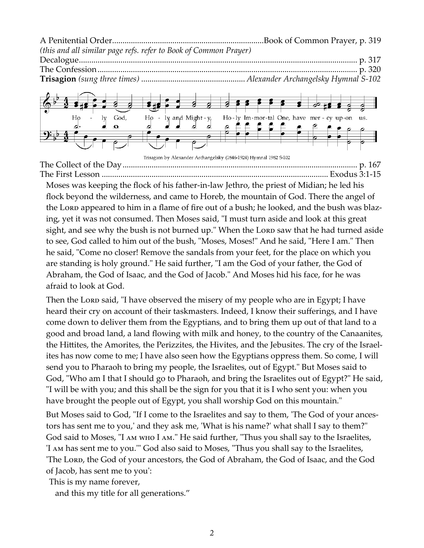| (this and all similar page refs. refer to Book of Common Prayer) |  |
|------------------------------------------------------------------|--|
|                                                                  |  |
|                                                                  |  |
|                                                                  |  |
|                                                                  |  |



Trisagion by Alexander Archangelsky (1846-1924) Hymnal 1982 S 102 The Collect of the Day................................................................................................................. p. 167 The First Lesson ............................................................................................................. Exodus 3:1-15 Moses was keeping the flock of his father-in-law Jethro, the priest of Midian; he led his flock beyond the wilderness, and came to Horeb, the mountain of God. There the angel of the Lord appeared to him in a flame of fire out of a bush; he looked, and the bush was blazing, yet it was not consumed. Then Moses said, "I must turn aside and look at this great sight, and see why the bush is not burned up." When the Lorp saw that he had turned aside to see, God called to him out of the bush, "Moses, Moses!" And he said, "Here I am." Then he said, "Come no closer! Remove the sandals from your feet, for the place on which you are standing is holy ground." He said further, "I am the God of your father, the God of Abraham, the God of Isaac, and the God of Jacob." And Moses hid his face, for he was afraid to look at God.

Then the Lorp said, "I have observed the misery of my people who are in Egypt; I have heard their cry on account of their taskmasters. Indeed, I know their sufferings, and I have come down to deliver them from the Egyptians, and to bring them up out of that land to a good and broad land, a land flowing with milk and honey, to the country of the Canaanites, the Hittites, the Amorites, the Perizzites, the Hivites, and the Jebusites. The cry of the Israelites has now come to me; I have also seen how the Egyptians oppress them. So come, I will send you to Pharaoh to bring my people, the Israelites, out of Egypt." But Moses said to God, "Who am I that I should go to Pharaoh, and bring the Israelites out of Egypt?" He said, "I will be with you; and this shall be the sign for you that it is I who sent you: when you have brought the people out of Egypt, you shall worship God on this mountain."

But Moses said to God, "If I come to the Israelites and say to them, 'The God of your ancestors has sent me to you,' and they ask me, 'What is his name?' what shall I say to them?" God said to Moses, "I am who I am." He said further, "Thus you shall say to the Israelites, 'I am has sent me to you.'" God also said to Moses, "Thus you shall say to the Israelites, 'The Lorp, the God of your ancestors, the God of Abraham, the God of Isaac, and the God of Jacob, has sent me to you':

This is my name forever,

and this my title for all generations."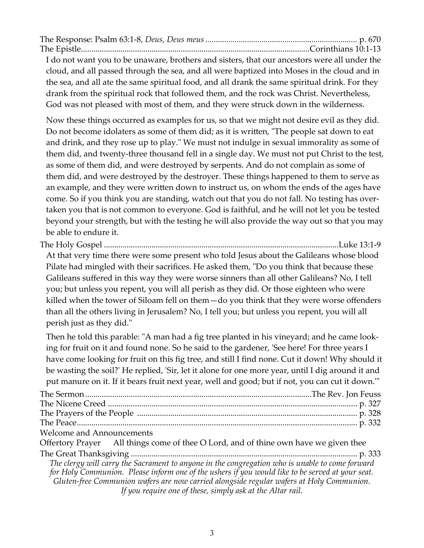The Response: Psalm 63:1-8, *Deus, Deus meus .........................................................................* p. 670 The Epistle..............................................................................................................Corinthians 10:1-13 I do not want you to be unaware, brothers and sisters, that our ancestors were all under the cloud, and all passed through the sea, and all were baptized into Moses in the cloud and in the sea, and all ate the same spiritual food, and all drank the same spiritual drink. For they drank from the spiritual rock that followed them, and the rock was Christ. Nevertheless, God was not pleased with most of them, and they were struck down in the wilderness.

Now these things occurred as examples for us, so that we might not desire evil as they did. Do not become idolaters as some of them did; as it is written, "The people sat down to eat and drink, and they rose up to play." We must not indulge in sexual immorality as some of them did, and twenty-three thousand fell in a single day. We must not put Christ to the test, as some of them did, and were destroyed by serpents. And do not complain as some of them did, and were destroyed by the destroyer. These things happened to them to serve as an example, and they were written down to instruct us, on whom the ends of the ages have come. So if you think you are standing, watch out that you do not fall. No testing has overtaken you that is not common to everyone. God is faithful, and he will not let you be tested beyond your strength, but with the testing he will also provide the way out so that you may be able to endure it.

The Holy Gospel .................................................................................................................Luke 13:1-9

At that very time there were some present who told Jesus about the Galileans whose blood Pilate had mingled with their sacrifices. He asked them, "Do you think that because these Galileans suffered in this way they were worse sinners than all other Galileans? No, I tell you; but unless you repent, you will all perish as they did. Or those eighteen who were killed when the tower of Siloam fell on them—do you think that they were worse offenders than all the others living in Jerusalem? No, I tell you; but unless you repent, you will all perish just as they did."

Then he told this parable: "A man had a fig tree planted in his vineyard; and he came looking for fruit on it and found none. So he said to the gardener, 'See here! For three years I have come looking for fruit on this fig tree, and still I find none. Cut it down! Why should it be wasting the soil?' He replied, 'Sir, let it alone for one more year, until I dig around it and put manure on it. If it bears fruit next year, well and good; but if not, you can cut it down.'" The Sermon.............................................................................................................The Rev. Jon Feuss The Nicene Creed ........................................................................................................................ p. 327 The Prayers of the People .......................................................................................................... p. 328 The Peace....................................................................................................................................... p. 332 Welcome and Announcements Offertory Prayer All things come of thee O Lord, and of thine own have we given thee The Great Thanksgiving ............................................................................................................. p. 333 *The clergy will carry the Sacrament to anyone in the congregation who is unable to come forward for Holy Communion. Please inform one of the ushers if you would like to be served at your seat. Gluten-free Communion wafers are now carried alongside regular wafers at Holy Communion. If you require one of these, simply ask at the Altar rail.*